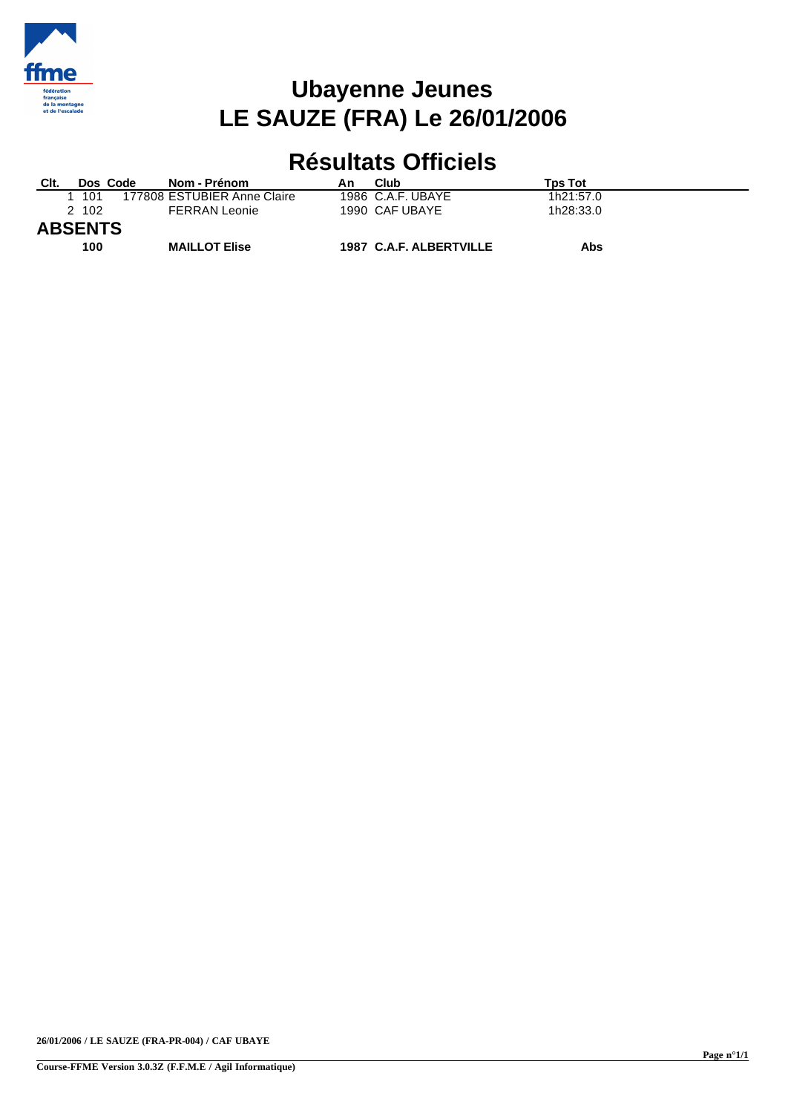

## **Ubayenne Jeunes LE SAUZE (FRA) Le 26/01/2006**

## **Résultats Officiels**

| Clt.           | Dos Code | Nom - Prénom                | An | Club                    | <b>Tps Tot</b> |  |
|----------------|----------|-----------------------------|----|-------------------------|----------------|--|
|                | 1 101    | 177808 ESTUBIER Anne Claire |    | 1986 C.A.F. UBAYE       | 1h21:57.0      |  |
|                | 2 102    | <b>FERRAN Leonie</b>        |    | 1990 CAF UBAYE          | 1h28:33.0      |  |
| <b>ABSENTS</b> |          |                             |    |                         |                |  |
|                | 100      | <b>MAILLOT Elise</b>        |    | 1987 C.A.F. ALBERTVILLE | Abs            |  |

**26/01/2006 / LE SAUZE (FRA-PR-004) / CAF UBAYE**